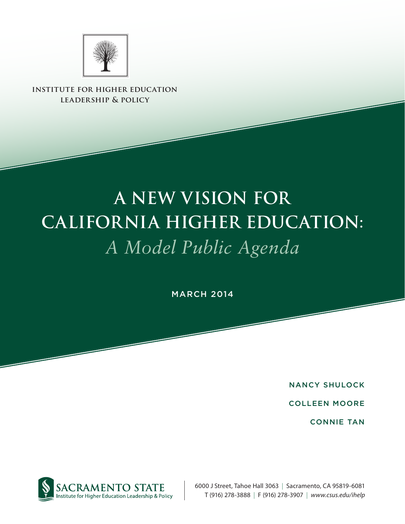

**institute for higher education leadership & policy**

# **A New Vision for California Higher Education:**  *A Model Public Agenda*

**MARCH 2014** 

Nancy Shulock

Colleen Moore

Connie Tan



6000 J Street, Tahoe Hall 3063 | Sacramento, CA 95819-6081 T (916) 278-3888 | F (916) 278-3907 | *www.csus.edu/ihelp*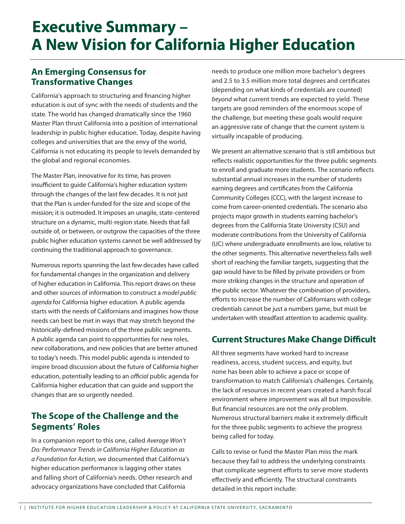# **A New Vision for California Higher Education Executive Summary –**

## **An Emerging Consensus for Transformative Changes**

California's approach to structuring and financing higher education is out of sync with the needs of students and the state. The world has changed dramatically since the 1960 Master Plan thrust California into a position of international leadership in public higher education. Today, despite having colleges and universities that are the envy of the world, California is not educating its people to levels demanded by the global and regional economies.

The Master Plan, innovative for its time, has proven insufficient to guide California's higher education system through the changes of the last few decades. It is not just that the Plan is under-funded for the size and scope of the mission; it is outmoded. It imposes an unagile, state-centered structure on a dynamic, multi-region state. Needs that fall outside of, or between, or outgrow the capacities of the three public higher education systems cannot be well addressed by continuing the traditional approach to governance.

Numerous reports spanning the last few decades have called for fundamental changes in the organization and delivery of higher education in California. This report draws on these and other sources of information to construct a *model public agenda* for California higher education. A public agenda starts with the needs of Californians and imagines how those needs can best be met in ways that may stretch beyond the historically-defined missions of the three public segments. A public agenda can point to opportunities for new roles, new collaborations, and new policies that are better attuned to today's needs. This model public agenda is intended to inspire broad discussion about the future of California higher education, potentially leading to an *official* public agenda for California higher education that can guide and support the changes that are so urgently needed.

## **The Scope of the Challenge and the Segments' Roles**

In a companion report to this one, called *Average Won't Do: Performance Trends in California Higher Education as a Foundation for Action*, we documented that California's higher education performance is lagging other states and falling short of California's needs. Other research and advocacy organizations have concluded that California

needs to produce one million more bachelor's degrees and 2.5 to 3.5 million more total degrees and certificates (depending on what kinds of credentials are counted) *beyond* what current trends are expected to yield. These targets are good reminders of the enormous scope of the challenge, but meeting these goals would require an aggressive rate of change that the current system is virtually incapable of producing.

We present an alternative scenario that is still ambitious but reflects realistic opportunities for the three public segments to enroll and graduate more students. The scenario reflects substantial annual increases in the number of students earning degrees and certificates from the California Community Colleges (CCC), with the largest increase to come from career-oriented credentials. The scenario also projects major growth in students earning bachelor's degrees from the California State University (CSU) and moderate contributions from the University of California (UC) where undergraduate enrollments are low, relative to the other segments. This alternative nevertheless falls well short of reaching the familiar targets, suggesting that the gap would have to be filled by private providers or from more striking changes in the structure and operation of the public sector. Whatever the combination of providers, efforts to increase the number of Californians with college credentials cannot be just a numbers game, but must be undertaken with steadfast attention to academic quality.

## **Current Structures Make Change Difficult**

All three segments have worked hard to increase readiness, access, student success, and equity, but none has been able to achieve a pace or scope of transformation to match California's challenges. Certainly, the lack of resources in recent years created a harsh fiscal environment where improvement was all but impossible. But financial resources are not the only problem. Numerous structural barriers make it extremely difficult for the three public segments to achieve the progress being called for today.

Calls to revise or fund the Master Plan miss the mark because they fail to address the underlying constraints that complicate segment efforts to serve more students effectively and efficiently. The structural constraints detailed in this report include: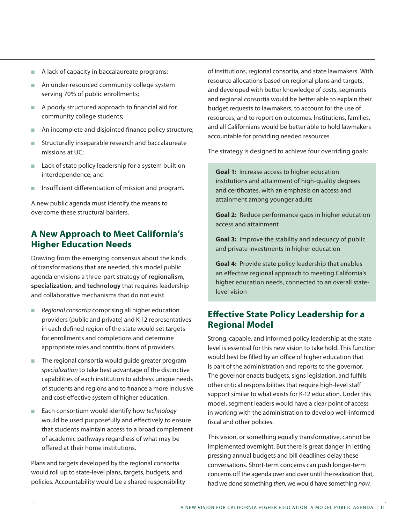- $\blacksquare$  A lack of capacity in baccalaureate programs;
- An under-resourced community college system serving 70% of public enrollments;
- A poorly structured approach to financial aid for community college students;
- $n$  An incomplete and disjointed finance policy structure;
- Structurally inseparable research and baccalaureate missions at UC;
- $\blacksquare$  Lack of state policy leadership for a system built on interdependence; and
- **n** Insufficient differentiation of mission and program.

A new public agenda must identify the means to overcome these structural barriers.

## **A New Approach to Meet California's Higher Education Needs**

Drawing from the emerging consensus about the kinds of transformations that are needed, this model public agenda envisions a three-part strategy of **regionalism, specialization, and technology** that requires leadership and collaborative mechanisms that do not exist.

- **n** *Regional consortia* comprising all higher education providers (public and private) and K-12 representatives in each defined region of the state would set targets for enrollments and completions and determine appropriate roles and contributions of providers.
- $\blacksquare$  The regional consortia would guide greater program *specialization* to take best advantage of the distinctive capabilities of each institution to address unique needs of students and regions and to finance a more inclusive and cost-effective system of higher education.
- Each consortium would identify how *technology* would be used purposefully and effectively to ensure that students maintain access to a broad complement of academic pathways regardless of what may be offered at their home institutions.

Plans and targets developed by the regional consortia would roll up to state-level plans, targets, budgets, and policies. Accountability would be a shared responsibility of institutions, regional consortia, and state lawmakers. With resource allocations based on regional plans and targets, and developed with better knowledge of costs, segments and regional consortia would be better able to explain their budget requests to lawmakers, to account for the use of resources, and to report on outcomes. Institutions, families, and all Californians would be better able to hold lawmakers accountable for providing needed resources.

The strategy is designed to achieve four overriding goals:

**Goal 1:** Increase access to higher education institutions and attainment of high-quality degrees and certificates, with an emphasis on access and attainment among younger adults

**Goal 2:** Reduce performance gaps in higher education access and attainment

**Goal 3:** Improve the stability and adequacy of public and private investments in higher education

**Goal 4:** Provide state policy leadership that enables an effective regional approach to meeting California's higher education needs, connected to an overall statelevel vision

### **Effective State Policy Leadership for a Regional Model**

Strong, capable, and informed policy leadership at the state level is essential for this new vision to take hold. This function would best be filled by an office of higher education that is part of the administration and reports to the governor. The governor enacts budgets, signs legislation, and fulfills other critical responsibilities that require high-level staff support similar to what exists for K-12 education. Under this model, segment leaders would have a clear point of access in working with the administration to develop well-informed fiscal and other policies.

This vision, or something equally transformative, cannot be implemented overnight. But there is great danger in letting pressing annual budgets and bill deadlines delay these conversations. Short-term concerns can push longer-term concerns off the agenda over and over until the realization that, had we done something *then*, we would have something *now*.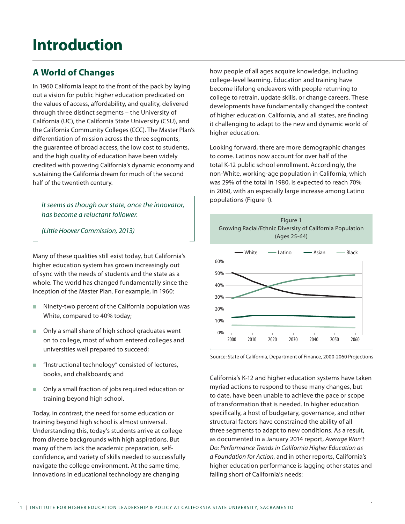# **Introduction**

## **A World of Changes**

In 1960 California leapt to the front of the pack by laying out a vision for public higher education predicated on the values of access, affordability, and quality, delivered through three distinct segments – the University of California (UC), the California State University (CSU), and the California Community Colleges (CCC). The Master Plan's differentiation of mission across the three segments, the guarantee of broad access, the low cost to students, and the high quality of education have been widely credited with powering California's dynamic economy and sustaining the California dream for much of the second half of the twentieth century.

*It seems as though our state, once the innovator, has become a reluctant follower.* 

*(Little Hoover Commission, 2013)*

Many of these qualities still exist today, but California's higher education system has grown increasingly out of sync with the needs of students and the state as a whole. The world has changed fundamentally since the inception of the Master Plan. For example, in 1960:

- $\blacksquare$  Ninety-two percent of the California population was White, compared to 40% today;
- Only a small share of high school graduates went on to college, most of whom entered colleges and universities well prepared to succeed;
- $\blacksquare$  "Instructional technology" consisted of lectures, books, and chalkboards; and
- Only a small fraction of jobs required education or training beyond high school.

Today, in contrast, the need for some education or training beyond high school is almost universal. Understanding this, today's students arrive at college from diverse backgrounds with high aspirations. But many of them lack the academic preparation, selfconfidence, and variety of skills needed to successfully navigate the college environment. At the same time, innovations in educational technology are changing

how people of all ages acquire knowledge, including college-level learning. Education and training have become lifelong endeavors with people returning to college to retrain, update skills, or change careers. These developments have fundamentally changed the context of higher education. California, and all states, are finding it challenging to adapt to the new and dynamic world of higher education.

Looking forward, there are more demographic changes to come. Latinos now account for over half of the total K-12 public school enrollment. Accordingly, the non-White, working-age population in California, which was 29% of the total in 1980, is expected to reach 70% in 2060, with an especially large increase among Latino populations (Figure 1).



Source: State of California, Department of Finance, 2000-2060 Projections

California's K-12 and higher education systems have taken myriad actions to respond to these many changes, but to date, have been unable to achieve the pace or scope of transformation that is needed. In higher education specifically, a host of budgetary, governance, and other structural factors have constrained the ability of all three segments to adapt to new conditions. As a result, as documented in a January 2014 report, *Average Won't Do: Performance Trends in California Higher Education as a Foundation for Action*, and in other reports, California's higher education performance is lagging other states and falling short of California's needs: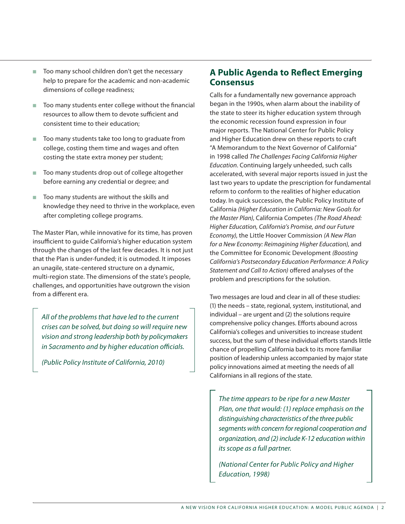- $\blacksquare$  Too many school children don't get the necessary help to prepare for the academic and non-academic dimensions of college readiness;
- Too many students enter college without the financial resources to allow them to devote sufficient and consistent time to their education;
- Too many students take too long to graduate from college, costing them time and wages and often costing the state extra money per student;
- $\blacksquare$  Too many students drop out of college altogether before earning any credential or degree; and
- Too many students are without the skills and knowledge they need to thrive in the workplace, even after completing college programs.

The Master Plan, while innovative for its time, has proven insufficient to guide California's higher education system through the changes of the last few decades. It is not just that the Plan is under-funded; it is outmoded. It imposes an unagile, state-centered structure on a dynamic, multi-region state. The dimensions of the state's people, challenges, and opportunities have outgrown the vision from a different era.

*All of the problems that have led to the current crises can be solved, but doing so will require new vision and strong leadership both by policymakers in Sacramento and by higher education officials.* 

*(Public Policy Institute of California, 2010)*

## **A Public Agenda to Reflect Emerging Consensus**

Calls for a fundamentally new governance approach began in the 1990s, when alarm about the inability of the state to steer its higher education system through the economic recession found expression in four major reports. The National Center for Public Policy and Higher Education drew on these reports to craft "A Memorandum to the Next Governor of California" in 1998 called *The Challenges Facing California Higher Education*. Continuing largely unheeded, such calls accelerated, with several major reports issued in just the last two years to update the prescription for fundamental reform to conform to the realities of higher education today. In quick succession, the Public Policy Institute of California *(Higher Education in California: New Goals for the Master Plan)*, California Competes *(The Road Ahead: Higher Education, California's Promise, and our Future Economy)*, the Little Hoover Commission *(A New Plan for a New Economy: Reimagining Higher Education)*, and the Committee for Economic Development *(Boosting California's Postsecondary Education Performance: A Policy Statement and Call to Action)* offered analyses of the problem and prescriptions for the solution.

Two messages are loud and clear in all of these studies: (1) the needs – state, regional, system, institutional, and individual – are urgent and (2) the solutions require comprehensive policy changes. Efforts abound across California's colleges and universities to increase student success, but the sum of these individual efforts stands little chance of propelling California back to its more familiar position of leadership unless accompanied by major state policy innovations aimed at meeting the needs of all Californians in all regions of the state.

*The time appears to be ripe for a new Master Plan, one that would: (1) replace emphasis on the distinguishing characteristics of the three public segments with concern for regional cooperation and organization, and (2) include K-12 education within its scope as a full partner.* 

*(National Center for Public Policy and Higher Education, 1998)*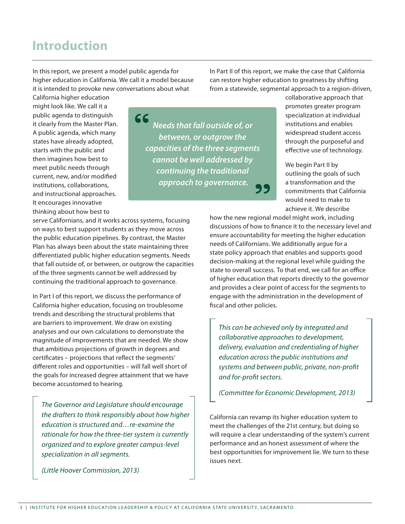## **Introduction**

In this report, we present a model public agenda for higher education in California. We call it a model because it is intended to provoke new conversations about what

In Part II of this report, we make the case that California can restore higher education to greatness by shifting from a statewide, segmental approach to a region-driven,

California higher education might look like. We call it a public agenda to distinguish it clearly from the Master Plan. A public agenda, which many states have already adopted, starts with the public and then imagines how best to meet public needs through current, new, and/or modified institutions, collaborations, and instructional approaches. It encourages innovative thinking about how best to

CC *Needs that fall outside of, or between, or outgrow the capacities of the three segments cannot be well addressed by continuing the traditional approach to governance.*

serve Californians, and it works across systems, focusing on ways to best support students as they move across the public education pipelines. By contrast, the Master Plan has always been about the state maintaining three differentiated public higher education segments. Needs that fall outside of, or between, or outgrow the capacities of the three segments cannot be well addressed by continuing the traditional approach to governance.

In Part I of this report, we discuss the performance of California higher education, focusing on troublesome trends and describing the structural problems that are barriers to improvement. We draw on existing analyses and our own calculations to demonstrate the magnitude of improvements that are needed. We show that ambitious projections of growth in degrees and certificates – projections that reflect the segments' different roles and opportunities – will fall well short of the goals for increased degree attainment that we have become accustomed to hearing.

*The Governor and Legislature should encourage the drafters to think responsibly about how higher education is structured and…re-examine the rationale for how the three-tier system is currently organized and to explore greater campus-level specialization in all segments.* 

*(Little Hoover Commission, 2013)*

collaborative approach that promotes greater program specialization at individual institutions and enables widespread student access through the purposeful and effective use of technology.

We begin Part II by outlining the goals of such a transformation and the commitments that California would need to make to achieve it. We describe

how the new regional model might work, including discussions of how to finance it to the necessary level and ensure accountability for meeting the higher education needs of Californians. We additionally argue for a state policy approach that enables and supports good decision-making at the regional level while guiding the state to overall success. To that end, we call for an office of higher education that reports directly to the governor and provides a clear point of access for the segments to engage with the administration in the development of fiscal and other policies.

*This can be achieved only by integrated and collaborative approaches to development, delivery, evaluation and credentialing of higher education across the public institutions and systems and between public, private, non-profit and for-profit sectors.* 

*(Committee for Economic Development, 2013)*

California can revamp its higher education system to meet the challenges of the 21st century, but doing so will require a clear understanding of the system's current performance and an honest assessment of where the best opportunities for improvement lie. We turn to these issues next.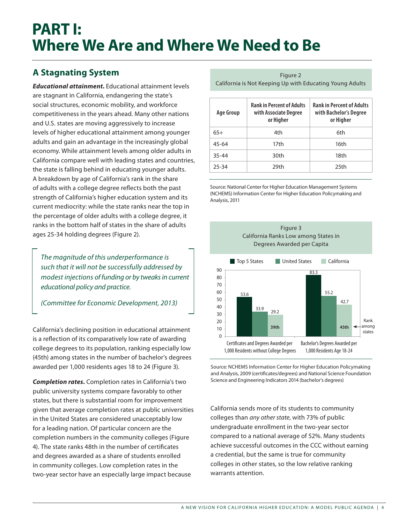## **A Stagnating System**

*Educational attainment.* Educational attainment levels are stagnant in California, endangering the state's social structures, economic mobility, and workforce competitiveness in the years ahead. Many other nations and U.S. states are moving aggressively to increase levels of higher educational attainment among younger adults and gain an advantage in the increasingly global economy. While attainment levels among older adults in California compare well with leading states and countries, the state is falling behind in educating younger adults. A breakdown by age of California's rank in the share of adults with a college degree reflects both the past strength of California's higher education system and its current mediocrity: while the state ranks near the top in the percentage of older adults with a college degree, it ranks in the bottom half of states in the share of adults ages 25-34 holding degrees (Figure 2).

*The magnitude of this underperformance is such that it will not be successfully addressed by modest injections of funding or by tweaks in current educational policy and practice.* 

*(Committee for Economic Development, 2013)*

California's declining position in educational attainment is a reflection of its comparatively low rate of awarding college degrees to its population, ranking especially low (45th) among states in the number of bachelor's degrees awarded per 1,000 residents ages 18 to 24 (Figure 3).

*Completion rates.* Completion rates in California's two public university systems compare favorably to other states, but there is substantial room for improvement given that average completion rates at public universities in the United States are considered unacceptably low for a leading nation. Of particular concern are the completion numbers in the community colleges (Figure 4). The state ranks 48th in the number of certificates and degrees awarded as a share of students enrolled in community colleges. Low completion rates in the two-year sector have an especially large impact because

Figure 2 California is Not Keeping Up with Educating Young Adults

| Age Group | <b>Rank in Percent of Adults</b><br>with Associate Degree<br>or Higher | <b>Rank in Percent of Adults</b><br>with Bachelor's Degree<br>or Higher |  |  |
|-----------|------------------------------------------------------------------------|-------------------------------------------------------------------------|--|--|
| $65+$     | 4th                                                                    | 6th                                                                     |  |  |
| $45 - 64$ | 17th                                                                   | 16th                                                                    |  |  |
| $35 - 44$ | 30th                                                                   | 18th                                                                    |  |  |
| 25-34     | 29th                                                                   | 25th                                                                    |  |  |

Source: National Center for Higher Education Management Systems (NCHEMS) Information Center for Higher Education Policymaking and Analysis, 2011



Source: NCHEMS Information Center for Higher Education Policymaking and Analysis, 2009 (certificates/degrees) and National Science Foundation Science and Engineering Indicators 2014 (bachelor's degrees)

California sends more of its students to community colleges than *any other state*, with 73% of public undergraduate enrollment in the two-year sector compared to a national average of 52%. Many students achieve successful outcomes in the CCC without earning a credential, but the same is true for community colleges in other states, so the low relative ranking warrants attention.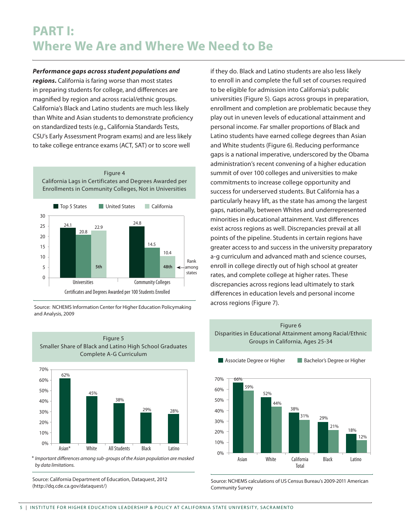*Performance gaps across student populations and regions.* California is faring worse than most states in preparing students for college, and differences are magnified by region and across racial/ethnic groups. California's Black and Latino students are much less likely than White and Asian students to demonstrate proficiency on standardized tests (e.g., California Standards Tests, CSU's Early Assessment Program exams) and are less likely to take college entrance exams (ACT, SAT) or to score well





Source: NCHEMS Information Center for Higher Education Policymaking and Analysis, 2009



\* *Important differences among sub-groups of the Asian population are masked by data limitations.*

Source: California Department of Education, Dataquest, 2012 (http://dq.cde.ca.gov/dataquest/)

if they do. Black and Latino students are also less likely to enroll in and complete the full set of courses required to be eligible for admission into California's public universities (Figure 5). Gaps across groups in preparation, enrollment and completion are problematic because they play out in uneven levels of educational attainment and personal income. Far smaller proportions of Black and Latino students have earned college degrees than Asian and White students (Figure 6). Reducing performance gaps is a national imperative, underscored by the Obama administration's recent convening of a higher education summit of over 100 colleges and universities to make commitments to increase college opportunity and success for underserved students. But California has a particularly heavy lift, as the state has among the largest gaps, nationally, between Whites and underrepresented minorities in educational attainment. Vast differences exist across regions as well. Discrepancies prevail at all points of the pipeline. Students in certain regions have greater access to and success in the university preparatory a-g curriculum and advanced math and science courses, enroll in college directly out of high school at greater rates, and complete college at higher rates. These discrepancies across regions lead ultimately to stark differences in education levels and personal income across regions (Figure 7).



Source: NCHEMS calculations of US Census Bureau's 2009-2011 American Community Survey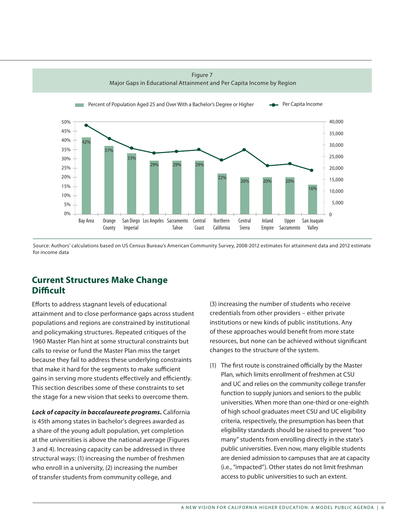

Source: Authors' calculations based on US Census Bureau's American Community Survey, 2008-2012 estimates for attainment data and 2012 estimate for income data

### **Current Structures Make Change Difficult**

Efforts to address stagnant levels of educational attainment and to close performance gaps across student populations and regions are constrained by institutional and policymaking structures. Repeated critiques of the 1960 Master Plan hint at some structural constraints but calls to revise or fund the Master Plan miss the target because they fail to address these underlying constraints that make it hard for the segments to make sufficient gains in serving more students effectively and efficiently. This section describes some of these constraints to set the stage for a new vision that seeks to overcome them.

*Lack of capacity in baccalaureate programs.* California is 45th among states in bachelor's degrees awarded as a share of the young adult population, yet completion at the universities is above the national average (Figures 3 and 4). Increasing capacity can be addressed in three structural ways: (1) increasing the number of freshmen who enroll in a university, (2) increasing the number of transfer students from community college, and

(3) increasing the number of students who receive credentials from other providers – either private institutions or new kinds of public institutions. Any of these approaches would benefit from more state resources, but none can be achieved without significant changes to the structure of the system.

(1) The first route is constrained officially by the Master Plan, which limits enrollment of freshmen at CSU and UC and relies on the community college transfer function to supply juniors and seniors to the public universities. When more than one-third or one-eighth of high school graduates meet CSU and UC eligibility criteria, respectively, the presumption has been that eligibility standards should be raised to prevent "too many" students from enrolling directly in the state's public universities. Even now, many eligible students are denied admission to campuses that are at capacity (i.e., "impacted"). Other states do not limit freshman access to public universities to such an extent.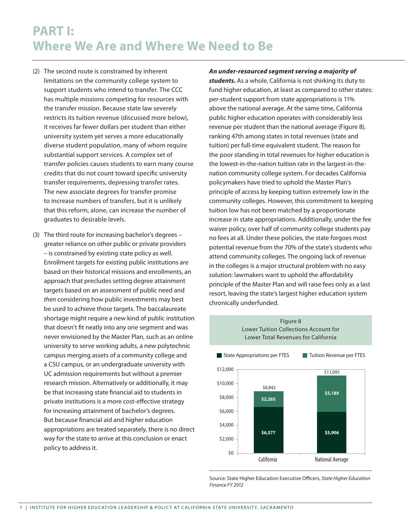## **PART I: Where We Are and Where We Need to Be**

- (2) The second route is constrained by inherent limitations on the community college system to support students who intend to transfer. The CCC has multiple missions competing for resources with the transfer mission. Because state law severely restricts its tuition revenue (discussed more below), it receives far fewer dollars per student than either university system yet serves a more educationally diverse student population, many of whom require substantial support services. A complex set of transfer policies causes students to earn many course credits that do not count toward specific university transfer requirements, depressing transfer rates. The new associate degrees for transfer promise to increase numbers of transfers, but it is unlikely that this reform, alone, can increase the number of graduates to desirable levels.
- (3) The third route for increasing bachelor's degrees greater reliance on other public or private providers – is constrained by existing state policy as well. Enrollment targets for existing public institutions are based on their historical missions and enrollments, an approach that precludes setting degree attainment targets based on an assessment of public need and *then* considering how public investments may best be used to achieve those targets. The baccalaureate shortage might require a new kind of public institution that doesn't fit neatly into any one segment and was never envisioned by the Master Plan, such as an online university to serve working adults, a new polytechnic campus merging assets of a community college and a CSU campus, or an undergraduate university with UC admission requirements but without a premier research mission. Alternatively or additionally, it may be that increasing state financial aid to students in private institutions is a more cost-effective strategy for increasing attainment of bachelor's degrees. But because financial aid and higher education appropriations are treated separately, there is no direct way for the state to arrive at this conclusion or enact policy to address it.

*An under-resourced segment serving a majority of students.* As a whole, California is not shirking its duty to fund higher education, at least as compared to other states: per-student support from state appropriations is 11% above the national average. At the same time, California public higher education operates with considerably less revenue per student than the national average (Figure 8), ranking 47th among states in total revenues (state and tuition) per full-time equivalent student. The reason for the poor standing in total revenues for higher education is the lowest-in-the-nation tuition rate in the largest-in-thenation community college system. For decades California policymakers have tried to uphold the Master Plan's principle of access by keeping tuition extremely low in the community colleges. However, this commitment to keeping tuition low has not been matched by a proportionate increase in state appropriations. Additionally, under the fee waiver policy, over half of community college students pay no fees at all. Under these policies, the state forgoes most potential revenue from the 70% of the state's students who attend community colleges. The ongoing lack of revenue in the colleges is a major structural problem with no easy solution: lawmakers want to uphold the affordability principle of the Master Plan and will raise fees only as a last resort, leaving the state's largest higher education system chronically underfunded.



Source: State Higher Education Executive Officers, *State Higher Education Finance FY 2012*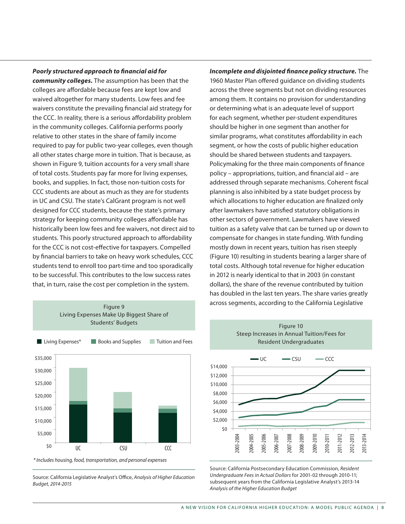#### *Poorly structured approach to financial aid for*

*community colleges.* The assumption has been that the colleges are affordable because fees are kept low and waived altogether for many students. Low fees and fee waivers constitute the prevailing financial aid strategy for the CCC. In reality, there is a serious affordability problem in the community colleges. California performs poorly relative to other states in the share of family income required to pay for public two-year colleges, even though all other states charge more in tuition. That is because, as shown in Figure 9, tuition accounts for a very small share of total costs. Students pay far more for living expenses, books, and supplies. In fact, those non-tuition costs for CCC students are about as much as they are for students in UC and CSU. The state's CalGrant program is not well designed for CCC students, because the state's primary strategy for keeping community colleges affordable has historically been low fees and fee waivers, not direct aid to students. This poorly structured approach to affordability for the CCC is not cost-effective for taxpayers. Compelled by financial barriers to take on heavy work schedules, CCC students tend to enroll too part-time and too sporadically to be successful. This contributes to the low success rates that, in turn, raise the cost per completion in the system.



*\* Includes housing, food, transportation, and personal expenses*

Source: California Legislative Analyst's Office, *Analysis of Higher Education Budget, 2014-2015*

*Incomplete and disjointed finance policy structure.* The 1960 Master Plan offered guidance on dividing students across the three segments but not on dividing resources among them. It contains no provision for understanding or determining what is an adequate level of support for each segment, whether per-student expenditures should be higher in one segment than another for similar programs, what constitutes affordability in each segment, or how the costs of public higher education should be shared between students and taxpayers. Policymaking for the three main components of finance policy – appropriations, tuition, and financial aid – are addressed through separate mechanisms. Coherent fiscal planning is also inhibited by a state budget process by which allocations to higher education are finalized only after lawmakers have satisfied statutory obligations in other sectors of government. Lawmakers have viewed tuition as a safety valve that can be turned up or down to compensate for changes in state funding. With funding mostly down in recent years, tuition has risen steeply (Figure 10) resulting in students bearing a larger share of total costs. Although total revenue for higher education in 2012 is nearly identical to that in 2003 (in constant dollars), the share of the revenue contributed by tuition has doubled in the last ten years. The share varies greatly across segments, according to the California Legislative



Source: California Postsecondary Education Commission, *Resident Undergraduate Fees in Actual Dollars* for 2001-02 through 2010-11; subsequent years from the California Legislative Analyst's 2013-14 *Analysis of the Higher Education Budget*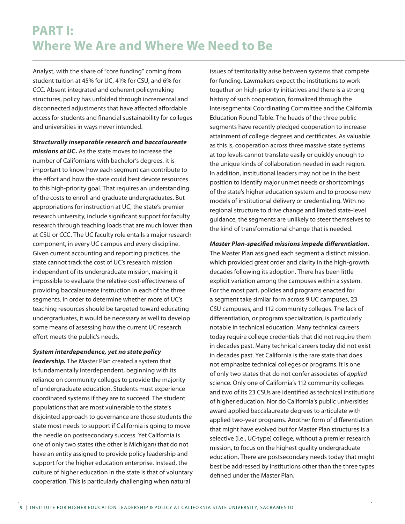## **PART I: Where We Are and Where We Need to Be**

Analyst, with the share of "core funding" coming from student tuition at 45% for UC, 41% for CSU, and 6% for CCC. Absent integrated and coherent policymaking structures, policy has unfolded through incremental and disconnected adjustments that have affected affordable access for students and financial sustainability for colleges and universities in ways never intended.

*Structurally inseparable research and baccalaureate missions at UC.* As the state moves to increase the number of Californians with bachelor's degrees, it is important to know how each segment can contribute to the effort and how the state could best devote resources to this high-priority goal. That requires an understanding of the costs to enroll and graduate undergraduates. But appropriations for instruction at UC, the state's premier research university, include significant support for faculty research through teaching loads that are much lower than at CSU or CCC. The UC faculty role entails a major research component, in every UC campus and every discipline. Given current accounting and reporting practices, the state cannot track the cost of UC's research mission independent of its undergraduate mission, making it impossible to evaluate the relative cost-effectiveness of providing baccalaureate instruction in each of the three segments. In order to determine whether more of UC's teaching resources should be targeted toward educating undergraduates, it would be necessary as well to develop some means of assessing how the current UC research effort meets the public's needs.

*System interdependence, yet no state policy* 

*leadership.* The Master Plan created a system that is fundamentally interdependent, beginning with its reliance on community colleges to provide the majority of undergraduate education. Students must experience coordinated systems if they are to succeed. The student populations that are most vulnerable to the state's disjointed approach to governance are those students the state most needs to support if California is going to move the needle on postsecondary success. Yet California is one of only two states (the other is Michigan) that do not have an entity assigned to provide policy leadership and support for the higher education enterprise. Instead, the culture of higher education in the state is that of voluntary cooperation. This is particularly challenging when natural

issues of territoriality arise between systems that compete for funding. Lawmakers expect the institutions to work together on high-priority initiatives and there is a strong history of such cooperation, formalized through the Intersegmental Coordinating Committee and the California Education Round Table. The heads of the three public segments have recently pledged cooperation to increase attainment of college degrees and certificates. As valuable as this is, cooperation across three massive state systems at top levels cannot translate easily or quickly enough to the unique kinds of collaboration needed in each region. In addition, institutional leaders may not be in the best position to identify major unmet needs or shortcomings of the state's higher education system and to propose new models of institutional delivery or credentialing. With no regional structure to drive change and limited state-level guidance, the segments are unlikely to steer themselves to the kind of transformational change that is needed.

#### *Master Plan-specified missions impede differentiation.*

The Master Plan assigned each segment a distinct mission, which provided great order and clarity in the high-growth decades following its adoption. There has been little explicit variation among the campuses within a system. For the most part, policies and programs enacted for a segment take similar form across 9 UC campuses, 23 CSU campuses, and 112 community colleges. The lack of differentiation, or program specialization, is particularly notable in technical education. Many technical careers today require college credentials that did not require them in decades past. Many technical careers today did not exist in decades past. Yet California is the rare state that does not emphasize technical colleges or programs. It is one of only two states that do not confer associates of *applied* science. Only one of California's 112 community colleges and two of its 23 CSUs are identified as technical institutions of higher education. Nor do California's public universities award applied baccalaureate degrees to articulate with applied two-year programs. Another form of differentiation that might have evolved but for Master Plan structures is a selective (i.e., UC-type) college, without a premier research mission, to focus on the highest quality undergraduate education. There are postsecondary needs today that might best be addressed by institutions other than the three types defined under the Master Plan.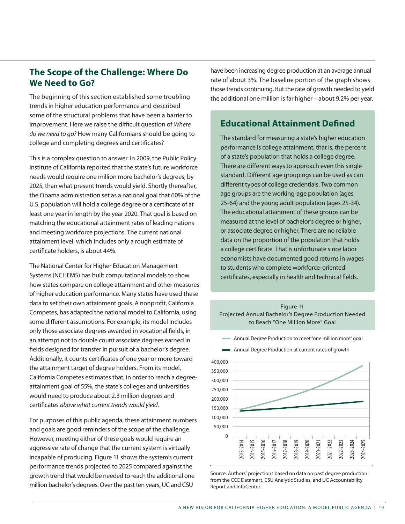## **The Scope of the Challenge: Where Do We Need to Go?**

The beginning of this section established some troubling trends in higher education performance and described some of the structural problems that have been a barrier to improvement. Here we raise the difficult question of *Where do we need to go?* How many Californians should be going to college and completing degrees and certificates?

This is a complex question to answer. In 2009, the Public Policy Institute of California reported that the state's future workforce needs would require one million more bachelor's degrees, by 2025, than what present trends would yield. Shortly thereafter, the Obama administration set as a national goal that 60% of the U.S. population will hold a college degree or a certificate of at least one year in length by the year 2020. That goal is based on matching the educational attainment rates of leading nations and meeting workforce projections. The current national attainment level, which includes only a rough estimate of certificate holders, is about 44%.

The National Center for Higher Education Management Systems (NCHEMS) has built computational models to show how states compare on college attainment and other measures of higher education performance. Many states have used these data to set their own attainment goals. A nonprofit, California Competes, has adapted the national model to California, using some different assumptions. For example, its model includes only those associate degrees awarded in vocational fields, in an attempt not to double count associate degrees earned in fields designed for transfer in pursuit of a bachelor's degree. Additionally, it counts certificates of one year or more toward the attainment target of degree holders. From its model, California Competes estimates that, in order to reach a degreeattainment goal of 55%, the state's colleges and universities would need to produce about 2.3 million degrees and certificates *above what current trends would yield*.

For purposes of this public agenda, these attainment numbers and goals are good reminders of the scope of the challenge. However, meeting either of these goals would require an aggressive rate of change that the current system is virtually incapable of producing. Figure 11 shows the system's current performance trends projected to 2025 compared against the growth trend that would be needed to reach the additional one million bachelor's degrees. Over the past ten years, UC and CSU

have been increasing degree production at an average annual rate of about 3%. The baseline portion of the graph shows those trends continuing. But the rate of growth needed to yield the additional one million is far higher – about 9.2% per year.

### **Educational Attainment Defined**

The standard for measuring a state's higher education performance is college attainment, that is, the percent of a state's population that holds a college degree. There are different ways to approach even this single standard. Different age groupings can be used as can different types of college credentials. Two common age groups are the working-age population (ages 25-64) and the young adult population (ages 25-34). The educational attainment of these groups can be measured at the level of bachelor's degree or higher, or associate degree or higher. There are no reliable data on the proportion of the population that holds a college certificate. That is unfortunate since labor economists have documented good returns in wages to students who complete workforce-oriented certificates, especially in health and technical fields.



Annual Degree Production to meet "one million more" goal



Source: Authors' projections based on data on past degree production from the CCC Datamart, CSU Analytic Studies, and UC Accountability Report and InfoCenter.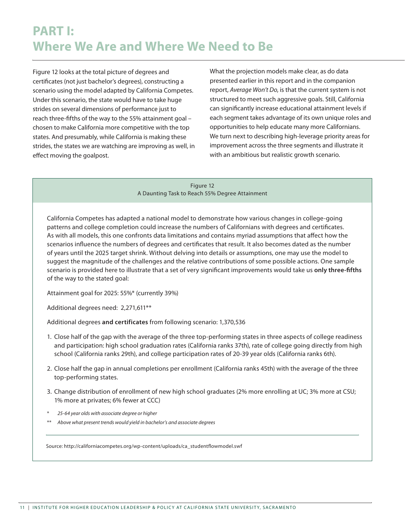Figure 12 looks at the total picture of degrees and certificates (not just bachelor's degrees), constructing a scenario using the model adapted by California Competes. Under this scenario, the state would have to take huge strides on several dimensions of performance just to reach three-fifths of the way to the 55% attainment goal – chosen to make California more competitive with the top states. And presumably, while California is making these strides, the states we are watching are improving as well, in effect moving the goalpost.

What the projection models make clear, as do data presented earlier in this report and in the companion report, *Average Won't Do*, is that the current system is not structured to meet such aggressive goals. Still, California can significantly increase educational attainment levels if each segment takes advantage of its own unique roles and opportunities to help educate many more Californians. We turn next to describing high-leverage priority areas for improvement across the three segments and illustrate it with an ambitious but realistic growth scenario.

Figure 12 A Daunting Task to Reach 55% Degree Attainment

California Competes has adapted a national model to demonstrate how various changes in college-going patterns and college completion could increase the numbers of Californians with degrees and certificates. As with all models, this one confronts data limitations and contains myriad assumptions that affect how the scenarios influence the numbers of degrees and certificates that result. It also becomes dated as the number of years until the 2025 target shrink. Without delving into details or assumptions, one may use the model to suggest the magnitude of the challenges and the relative contributions of some possible actions. One sample scenario is provided here to illustrate that a set of very significant improvements would take us **only three-fifths** of the way to the stated goal:

Attainment goal for 2025: 55%\* (currently 39%)

Additional degrees need: 2,271,611\*\*

Additional degrees **and certificates** from following scenario: 1,370,536

- 1. Close half of the gap with the average of the three top-performing states in three aspects of college readiness and participation: high school graduation rates (California ranks 37th), rate of college going directly from high school (California ranks 29th), and college participation rates of 20-39 year olds (California ranks 6th).
- 2. Close half the gap in annual completions per enrollment (California ranks 45th) with the average of the three top-performing states.
- 3. Change distribution of enrollment of new high school graduates (2% more enrolling at UC; 3% more at CSU; 1% more at privates; 6% fewer at CCC)
- \* *25-64 year olds with associate degree or higher*
- \*\* *Above what present trends would yield in bachelor's and associate degrees*

Source: http://californiacompetes.org/wp-content/uploads/ca\_studentflowmodel.swf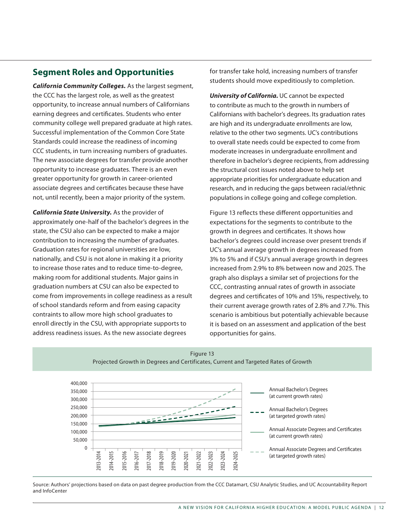## **Segment Roles and Opportunities**

*California Community Colleges.* As the largest segment, the CCC has the largest role, as well as the greatest opportunity, to increase annual numbers of Californians earning degrees and certificates. Students who enter community college well prepared graduate at high rates. Successful implementation of the Common Core State Standards could increase the readiness of incoming CCC students, in turn increasing numbers of graduates. The new associate degrees for transfer provide another opportunity to increase graduates. There is an even greater opportunity for growth in career-oriented associate degrees and certificates because these have not, until recently, been a major priority of the system.

*California State University.* As the provider of approximately one-half of the bachelor's degrees in the state, the CSU also can be expected to make a major contribution to increasing the number of graduates. Graduation rates for regional universities are low, nationally, and CSU is not alone in making it a priority to increase those rates and to reduce time-to-degree, making room for additional students. Major gains in graduation numbers at CSU can also be expected to come from improvements in college readiness as a result of school standards reform and from easing capacity contraints to allow more high school graduates to enroll directly in the CSU, with appropriate supports to address readiness issues. As the new associate degrees

for transfer take hold, increasing numbers of transfer students should move expeditiously to completion.

*University of California.* UC cannot be expected to contribute as much to the growth in numbers of Californians with bachelor's degrees. Its graduation rates are high and its undergraduate enrollments are low, relative to the other two segments. UC's contributions to overall state needs could be expected to come from moderate increases in undergraduate enrollment and therefore in bachelor's degree recipients, from addressing the structural cost issues noted above to help set appropriate priorities for undergraduate education and research, and in reducing the gaps between racial/ethnic populations in college going and college completion.

Figure 13 reflects these different opportunities and expectations for the segments to contribute to the growth in degrees and certificates. It shows how bachelor's degrees could increase over present trends if UC's annual average growth in degrees increased from 3% to 5% and if CSU's annual average growth in degrees increased from 2.9% to 8% between now and 2025. The graph also displays a similar set of projections for the CCC, contrasting annual rates of growth in associate degrees and certificates of 10% and 15%, respectively, to their current average growth rates of 2.8% and 7.7%. This scenario is ambitious but potentially achievable because it is based on an assessment and application of the best opportunities for gains.





Source: Authors' projections based on data on past degree production from the CCC Datamart, CSU Analytic Studies, and UC Accountability Report and InfoCenter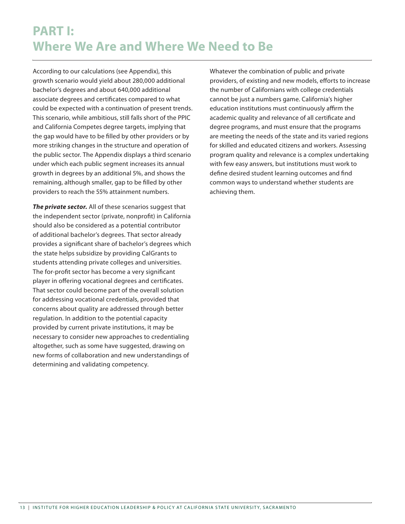## **PART I: Where We Are and Where We Need to Be**

According to our calculations (see Appendix), this growth scenario would yield about 280,000 additional bachelor's degrees and about 640,000 additional associate degrees and certificates compared to what could be expected with a continuation of present trends. This scenario, while ambitious, still falls short of the PPIC and California Competes degree targets, implying that the gap would have to be filled by other providers or by more striking changes in the structure and operation of the public sector. The Appendix displays a third scenario under which each public segment increases its annual growth in degrees by an additional 5%, and shows the remaining, although smaller, gap to be filled by other providers to reach the 55% attainment numbers.

*The private sector.* All of these scenarios suggest that the independent sector (private, nonprofit) in California should also be considered as a potential contributor of additional bachelor's degrees. That sector already provides a significant share of bachelor's degrees which the state helps subsidize by providing CalGrants to students attending private colleges and universities. The for-profit sector has become a very significant player in offering vocational degrees and certificates. That sector could become part of the overall solution for addressing vocational credentials, provided that concerns about quality are addressed through better regulation. In addition to the potential capacity provided by current private institutions, it may be necessary to consider new approaches to credentialing altogether, such as some have suggested, drawing on new forms of collaboration and new understandings of determining and validating competency.

Whatever the combination of public and private providers, of existing and new models, efforts to increase the number of Californians with college credentials cannot be just a numbers game. California's higher education institutions must continuously affirm the academic quality and relevance of all certificate and degree programs, and must ensure that the programs are meeting the needs of the state and its varied regions for skilled and educated citizens and workers. Assessing program quality and relevance is a complex undertaking with few easy answers, but institutions must work to define desired student learning outcomes and find common ways to understand whether students are achieving them.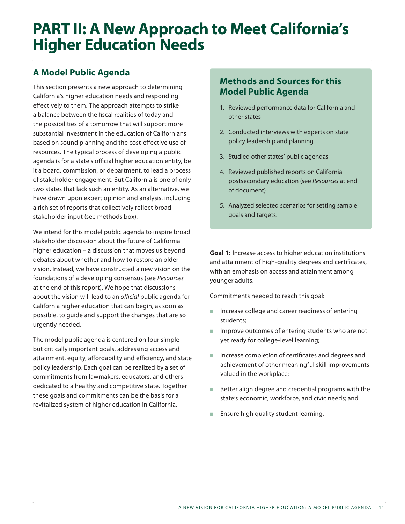## **PART II: A New Approach to Meet California's Higher Education Needs**

## **A Model Public Agenda**

This section presents a new approach to determining California's higher education needs and responding effectively to them. The approach attempts to strike a balance between the fiscal realities of today and the possibilities of a tomorrow that will support more substantial investment in the education of Californians based on sound planning and the cost-effective use of resources. The typical process of developing a public agenda is for a state's official higher education entity, be it a board, commission, or department, to lead a process of stakeholder engagement. But California is one of only two states that lack such an entity. As an alternative, we have drawn upon expert opinion and analysis, including a rich set of reports that collectively reflect broad stakeholder input (see methods box).

We intend for this model public agenda to inspire broad stakeholder discussion about the future of California higher education – a discussion that moves us beyond debates about whether and how to restore an older vision. Instead, we have constructed a new vision on the foundations of a developing consensus (see *Resources* at the end of this report). We hope that discussions about the vision will lead to an *official* public agenda for California higher education that can begin, as soon as possible, to guide and support the changes that are so urgently needed.

The model public agenda is centered on four simple but critically important goals, addressing access and attainment, equity, affordability and efficiency, and state policy leadership. Each goal can be realized by a set of commitments from lawmakers, educators, and others dedicated to a healthy and competitive state. Together these goals and commitments can be the basis for a revitalized system of higher education in California.

## **Methods and Sources for this Model Public Agenda**

- 1. Reviewed performance data for California and other states
- 2. Conducted interviews with experts on state policy leadership and planning
- 3. Studied other states' public agendas
- 4. Reviewed published reports on California postsecondary education (see *Resources* at end of document)
- 5. Analyzed selected scenarios for setting sample goals and targets.

**Goal 1:** Increase access to higher education institutions and attainment of high-quality degrees and certificates, with an emphasis on access and attainment among younger adults.

Commitments needed to reach this goal:

- $\blacksquare$  Increase college and career readiness of entering students;
- **n** Improve outcomes of entering students who are not yet ready for college-level learning;
- n Increase completion of certificates and degrees and achievement of other meaningful skill improvements valued in the workplace;
- Better align degree and credential programs with the state's economic, workforce, and civic needs; and
- Ensure high quality student learning.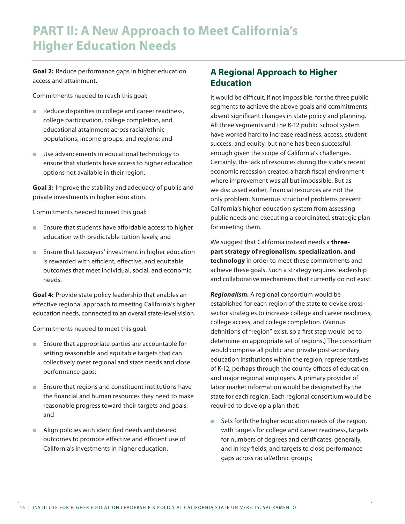**Goal 2:** Reduce performance gaps in higher education access and attainment.

Commitments needed to reach this goal:

- Reduce disparities in college and career readiness, college participation, college completion, and educational attainment across racial/ethnic populations, income groups, and regions; and
- $\blacksquare$  Use advancements in educational technology to ensure that students have access to higher education options not available in their region.

**Goal 3:** Improve the stability and adequacy of public and private investments in higher education.

Commitments needed to meet this goal:

- $\blacksquare$  Ensure that students have affordable access to higher education with predictable tuition levels; and
- $\blacksquare$  Ensure that taxpayers' investment in higher education is rewarded with efficient, effective, and equitable outcomes that meet individual, social, and economic needs.

**Goal 4:** Provide state policy leadership that enables an effective regional approach to meeting California's higher education needs, connected to an overall state-level vision.

Commitments needed to meet this goal:

- $\blacksquare$  Ensure that appropriate parties are accountable for setting reasonable and equitable targets that can collectively meet regional and state needs and close performance gaps;
- $\blacksquare$  Ensure that regions and constituent institutions have the financial and human resources they need to make reasonable progress toward their targets and goals; and
- $\blacksquare$  Align policies with identified needs and desired outcomes to promote effective and efficient use of California's investments in higher education.

### **A Regional Approach to Higher Education**

It would be difficult, if not impossible, for the three public segments to achieve the above goals and commitments absent significant changes in state policy and planning. All three segments and the K-12 public school system have worked hard to increase readiness, access, student success, and equity, but none has been successful enough given the scope of California's challenges. Certainly, the lack of resources during the state's recent economic recession created a harsh fiscal environment where improvement was all but impossible. But as we discussed earlier, financial resources are not the only problem. Numerous structural problems prevent California's higher education system from assessing public needs and executing a coordinated, strategic plan for meeting them.

We suggest that California instead needs a **threepart strategy of regionalism, specialization, and technology** in order to meet these commitments and achieve these goals. Such a strategy requires leadership and collaborative mechanisms that currently do not exist.

*Regionalism.* A regional consortium would be established for each region of the state to devise crosssector strategies to increase college and career readiness, college access, and college completion. (Various definitions of "region" exist, so a first step would be to determine an appropriate set of regions.) The consortium would comprise all public and private postsecondary education institutions within the region, representatives of K-12, perhaps through the county offices of education, and major regional employers. A primary provider of labor market information would be designated by the state for each region. Each regional consortium would be required to develop a plan that:

 $\blacksquare$  Sets forth the higher education needs of the region, with targets for college and career readiness, targets for numbers of degrees and certificates, generally, and in key fields, and targets to close performance gaps across racial/ethnic groups;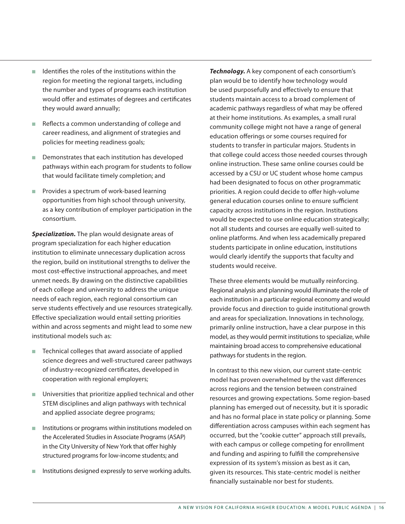- $\blacksquare$  Identifies the roles of the institutions within the region for meeting the regional targets, including the number and types of programs each institution would offer and estimates of degrees and certificates they would award annually;
- Reflects a common understanding of college and career readiness, and alignment of strategies and policies for meeting readiness goals;
- $\blacksquare$  Demonstrates that each institution has developed pathways within each program for students to follow that would facilitate timely completion; and
- $\blacksquare$  Provides a spectrum of work-based learning opportunities from high school through university, as a key contribution of employer participation in the consortium.

*Specialization.* The plan would designate areas of program specialization for each higher education institution to eliminate unnecessary duplication across the region, build on institutional strengths to deliver the most cost-effective instructional approaches, and meet unmet needs. By drawing on the distinctive capabilities of each college and university to address the unique needs of each region, each regional consortium can serve students effectively and use resources strategically. Effective specialization would entail setting priorities within and across segments and might lead to some new institutional models such as:

- $\blacksquare$  Technical colleges that award associate of applied science degrees and well-structured career pathways of industry-recognized certificates, developed in cooperation with regional employers;
- $\blacksquare$  Universities that prioritize applied technical and other STEM disciplines and align pathways with technical and applied associate degree programs;
- $\blacksquare$  Institutions or programs within institutions modeled on the Accelerated Studies in Associate Programs (ASAP) in the City University of New York that offer highly structured programs for low-income students; and
- Institutions designed expressly to serve working adults.

*Technology.* A key component of each consortium's plan would be to identify how technology would be used purposefully and effectively to ensure that students maintain access to a broad complement of academic pathways regardless of what may be offered at their home institutions. As examples, a small rural community college might not have a range of general education offerings or some courses required for students to transfer in particular majors. Students in that college could access those needed courses through online instruction. These same online courses could be accessed by a CSU or UC student whose home campus had been designated to focus on other programmatic priorities. A region could decide to offer high-volume general education courses online to ensure sufficient capacity across institutions in the region. Institutions would be expected to use online education strategically; not all students and courses are equally well-suited to online platforms. And when less academically prepared students participate in online education, institutions would clearly identify the supports that faculty and students would receive.

These three elements would be mutually reinforcing. Regional analysis and planning would illuminate the role of each institution in a particular regional economy and would provide focus and direction to guide institutional growth and areas for specialization. Innovations in technology, primarily online instruction, have a clear purpose in this model, as they would permit institutions to specialize, while maintaining broad access to comprehensive educational pathways for students in the region.

In contrast to this new vision, our current state-centric model has proven overwhelmed by the vast differences across regions and the tension between constrained resources and growing expectations. Some region-based planning has emerged out of necessity, but it is sporadic and has no formal place in state policy or planning. Some differentiation across campuses within each segment has occurred, but the "cookie cutter" approach still prevails, with each campus or college competing for enrollment and funding and aspiring to fulfill the comprehensive expression of its system's mission as best as it can, given its resources. This state-centric model is neither financially sustainable nor best for students.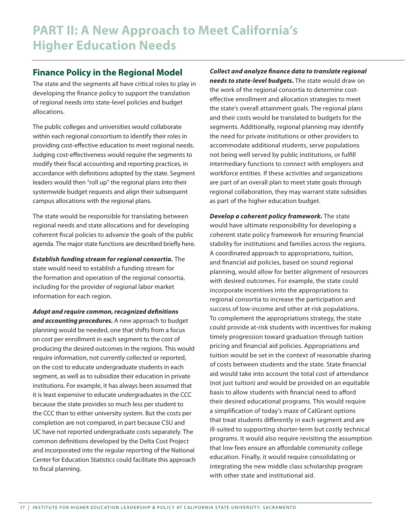## **Finance Policy in the Regional Model**

The state and the segments all have critical roles to play in developing the finance policy to support the translation of regional needs into state-level policies and budget allocations.

The public colleges and universities would collaborate within each regional consortium to identify their roles in providing cost-effective education to meet regional needs. Judging cost-effectiveness would require the segments to modify their fiscal accounting and reporting practices, in accordance with definitions adopted by the state. Segment leaders would then "roll up" the regional plans into their systemwide budget requests and align their subsequent campus allocations with the regional plans.

The state would be responsible for translating between regional needs and state allocations and for developing coherent fiscal policies to advance the goals of the public agenda. The major state functions are described briefly here.

*Establish funding stream for regional consortia.* The state would need to establish a funding stream for the formation and operation of the regional consortia, including for the provider of regional labor market information for each region.

*Adopt and require common, recognized definitions and accounting procedures.* A new approach to budget planning would be needed, one that shifts from a focus on cost per enrollment in each segment to the cost of producing the desired outcomes in the regions. This would require information, not currently collected or reported, on the cost to educate undergraduate students in each segment, as well as to subsidize their education in private institutions. For example, it has always been assumed that it is least expensive to educate undergraduates in the CCC because the state provides so much less per student to the CCC than to either university system. But the costs per completion are not compared, in part because CSU and UC have not reported undergraduate costs separately. The common definitions developed by the Delta Cost Project and incorporated into the regular reporting of the National Center for Education Statistics could facilitate this approach to fiscal planning.

*Collect and analyze finance data to translate regional needs to state-level budgets.* The state would draw on the work of the regional consortia to determine costeffective enrollment and allocation strategies to meet the state's overall attainment goals. The regional plans and their costs would be translated to budgets for the segments. Additionally, regional planning may identify the need for private institutions or other providers to accommodate additional students, serve populations not being well served by public institutions, or fulfill intermediary functions to connect with employers and workforce entities. If these activities and organizations are part of an overall plan to meet state goals through regional collaboration, they may warrant state subsidies as part of the higher education budget.

*Develop a coherent policy framework.* The state would have ultimate responsibility for developing a coherent state policy framework for ensuring financial stability for institutions and families across the regions. A coordinated approach to appropriations, tuition, and financial aid policies, based on sound regional planning, would allow for better alignment of resources with desired outcomes. For example, the state could incorporate incentives into the appropriations to regional consortia to increase the participation and success of low-income and other at-risk populations. To complement the appropriations strategy, the state could provide at-risk students with incentives for making timely progression toward graduation through tuition pricing and financial aid policies. Appropriations and tuition would be set in the context of reasonable sharing of costs between students and the state. State financial aid would take into account the total cost of attendance (not just tuition) and would be provided on an equitable basis to allow students with financial need to afford their desired educational programs. This would require a simplification of today's maze of CalGrant options that treat students differently in each segment and are ill-suited to supporting shorter-term but costly technical programs. It would also require revisiting the assumption that low fees ensure an affordable community college education. Finally, it would require consolidating or integrating the new middle class scholarship program with other state and institutional aid.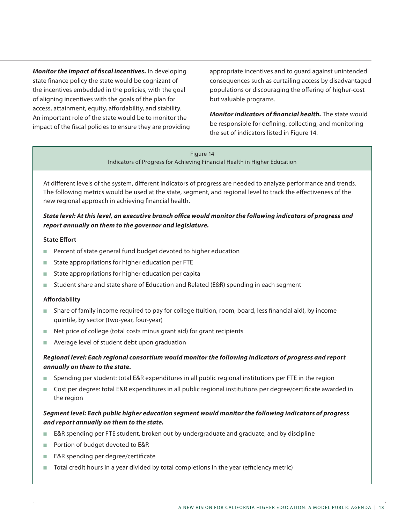*Monitor the impact of fiscal incentives.* In developing state finance policy the state would be cognizant of the incentives embedded in the policies, with the goal of aligning incentives with the goals of the plan for access, attainment, equity, affordability, and stability. An important role of the state would be to monitor the impact of the fiscal policies to ensure they are providing

appropriate incentives and to guard against unintended consequences such as curtailing access by disadvantaged populations or discouraging the offering of higher-cost but valuable programs.

*Monitor indicators of financial health.* The state would be responsible for defining, collecting, and monitoring the set of indicators listed in Figure 14.

Figure 14 Indicators of Progress for Achieving Financial Health in Higher Education

At different levels of the system, different indicators of progress are needed to analyze performance and trends. The following metrics would be used at the state, segment, and regional level to track the effectiveness of the new regional approach in achieving financial health.

#### *State level: At this level, an executive branch office would monitor the following indicators of progress and report annually on them to the governor and legislature.*

#### **State Effort**

- **Percent of state general fund budget devoted to higher education**
- State appropriations for higher education per FTE
- State appropriations for higher education per capita
- Student share and state share of Education and Related (E&R) spending in each segment

#### **Affordability**

- <sup>n</sup> Share of family income required to pay for college (tuition, room, board, less financial aid), by income quintile, by sector (two-year, four-year)
- Net price of college (total costs minus grant aid) for grant recipients
- Average level of student debt upon graduation

#### *Regional level: Each regional consortium would monitor the following indicators of progress and report annually on them to the state.*

- <sup>n</sup> Spending per student: total E&R expenditures in all public regional institutions per FTE in the region
- <sup>n</sup> Cost per degree: total E&R expenditures in all public regional institutions per degree/certificate awarded in the region

#### *Segment level: Each public higher education segment would monitor the following indicators of progress and report annually on them to the state.*

- E&R spending per FTE student, broken out by undergraduate and graduate, and by discipline
- Portion of budget devoted to E&R
- E&R spending per degree/certificate
- n Total credit hours in a year divided by total completions in the year (efficiency metric)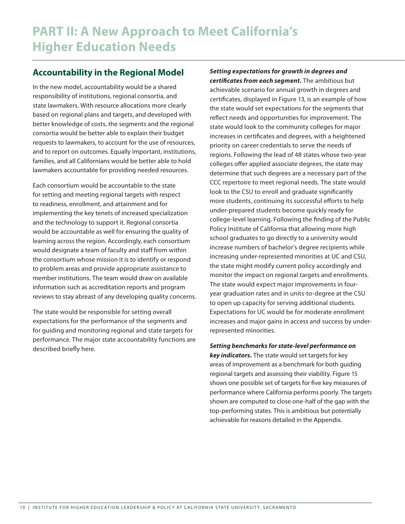### **Accountability in the Regional Model**

In the new model, accountability would be a shared responsibility of institutions, regional consortia, and state lawmakers. With resource allocations more clearly based on regional plans and targets, and developed with better knowledge of costs, the segments and the regional consortia would be better able to explain their budget requests to lawmakers, to account for the use of resources, and to report on outcomes. Equally important, institutions, families, and all Californians would be better able to hold lawmakers accountable for providing needed resources.

Each consortium would be accountable to the state for setting and meeting regional targets with respect to readiness, enrollment, and attainment and for implementing the key tenets of increased specialization and the technology to support it. Regional consortia would be accountable as well for ensuring the quality of learning across the region. Accordingly, each consortium would designate a team of faculty and staff from within the consortium whose mission it is to identify or respond to problem areas and provide appropriate assistance to member institutions. The team would draw on available information such as accreditation reports and program reviews to stay abreast of any developing quality concerns.

The state would be responsible for setting overall expectations for the performance of the segments and for guiding and monitoring regional and state targets for performance. The major state accountability functions are described briefly here.

*Setting expectations for growth in degrees and certificates from each segment.* The ambitious but achievable scenario for annual growth in degrees and certificates, displayed in Figure 13, is an example of how the state would set expectations for the segments that reflect needs and opportunities for improvement. The state would look to the community colleges for major increases in certificates and degrees, with a heightened priority on career credentials to serve the needs of regions. Following the lead of 48 states whose two-year colleges offer applied associate degrees, the state may determine that such degrees are a necessary part of the CCC repertoire to meet regional needs. The state would look to the CSU to enroll and graduate significantly more students, continuing its successful efforts to help under-prepared students become quickly ready for college-level learning. Following the finding of the Public Policy Institute of California that allowing more high school graduates to go directly to a university would increase numbers of bachelor's degree recipients while increasing under-represented minorities at UC and CSU, the state might modify current policy accordingly and monitor the impact on regional targets and enrollments. The state would expect major improvements in fouryear graduation rates and in units-to-degree at the CSU to open up capacity for serving additional students. Expectations for UC would be for moderate enrollment increases and major gains in access and success by underrepresented minorities.

*Setting benchmarks for state-level performance on key indicators.* The state would set targets for key areas of improvement as a benchmark for both guiding regional targets and assessing their viability. Figure 15 shows one possible set of targets for five key measures of performance where California performs poorly. The targets shown are computed to close one-half of the gap with the top-performing states. This is ambitious but potentially achievable for reasons detailed in the Appendix.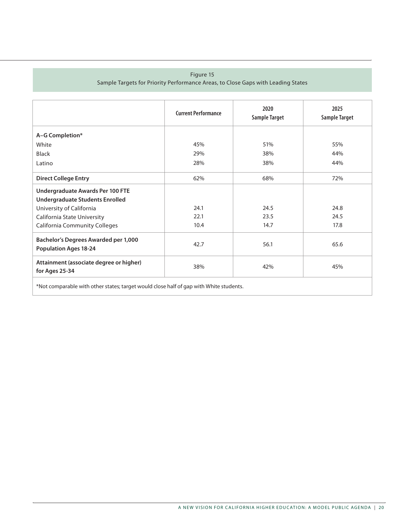#### Figure 15

Sample Targets for Priority Performance Areas, to Close Gaps with Leading States

|                                                                                        | <b>Current Performance</b> | 2020<br><b>Sample Target</b> | 2025<br><b>Sample Target</b> |  |
|----------------------------------------------------------------------------------------|----------------------------|------------------------------|------------------------------|--|
| A-G Completion*                                                                        |                            |                              |                              |  |
| White                                                                                  | 45%                        | 51%                          | 55%                          |  |
| <b>Black</b>                                                                           | 29%                        | 38%                          | 44%                          |  |
| Latino                                                                                 | 28%                        | 38%                          | 44%                          |  |
| <b>Direct College Entry</b>                                                            | 62%                        | 68%                          | 72%                          |  |
| Undergraduate Awards Per 100 FTE                                                       |                            |                              |                              |  |
| <b>Undergraduate Students Enrolled</b>                                                 |                            |                              |                              |  |
| University of California                                                               | 24.1                       | 24.5                         | 24.8                         |  |
| California State University                                                            | 22.1                       | 23.5                         | 24.5                         |  |
| <b>California Community Colleges</b>                                                   | 10.4                       | 14.7                         | 17.8                         |  |
| <b>Bachelor's Degrees Awarded per 1,000</b><br><b>Population Ages 18-24</b>            | 42.7                       | 56.1                         | 65.6                         |  |
| Attainment (associate degree or higher)<br>for Ages 25-34                              | 38%                        | 42%                          | 45%                          |  |
| *Not comparable with other states; target would close half of gap with White students. |                            |                              |                              |  |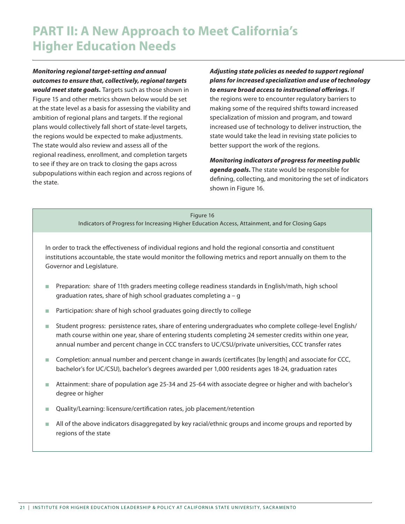## **PART II: A New Approach to Meet California's Higher Education Needs**

*Monitoring regional target-setting and annual outcomes to ensure that, collectively, regional targets would meet state goals.* Targets such as those shown in Figure 15 and other metrics shown below would be set at the state level as a basis for assessing the viability and ambition of regional plans and targets. If the regional plans would collectively fall short of state-level targets, the regions would be expected to make adjustments. The state would also review and assess all of the regional readiness, enrollment, and completion targets to see if they are on track to closing the gaps across subpopulations within each region and across regions of the state.

*Adjusting state policies as needed to support regional plans for increased specialization and use of technology to ensure broad access to instructional offerings.* If the regions were to encounter regulatory barriers to making some of the required shifts toward increased specialization of mission and program, and toward increased use of technology to deliver instruction, the state would take the lead in revising state policies to better support the work of the regions.

*Monitoring indicators of progress for meeting public agenda goals.* The state would be responsible for defining, collecting, and monitoring the set of indicators shown in Figure 16.

#### Figure 16 Indicators of Progress for Increasing Higher Education Access, Attainment, and for Closing Gaps

In order to track the effectiveness of individual regions and hold the regional consortia and constituent institutions accountable, the state would monitor the following metrics and report annually on them to the Governor and Legislature.

- Preparation: share of 11th graders meeting college readiness standards in English/math, high school graduation rates, share of high school graduates completing a – g
- Participation: share of high school graduates going directly to college
- Student progress: persistence rates, share of entering undergraduates who complete college-level English/ math course within one year, share of entering students completing 24 semester credits within one year, annual number and percent change in CCC transfers to UC/CSU/private universities, CCC transfer rates
- <sup>n</sup> Completion: annual number and percent change in awards (certificates [by length] and associate for CCC, bachelor's for UC/CSU), bachelor's degrees awarded per 1,000 residents ages 18-24, graduation rates
- Attainment: share of population age 25-34 and 25-64 with associate degree or higher and with bachelor's degree or higher
- Quality/Learning: licensure/certification rates, job placement/retention
- n All of the above indicators disaggregated by key racial/ethnic groups and income groups and reported by regions of the state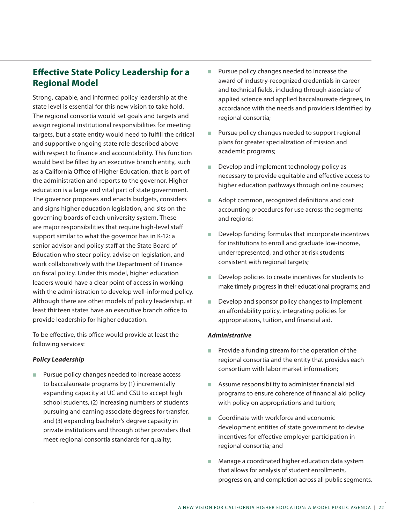## **Effective State Policy Leadership for a Regional Model**

Strong, capable, and informed policy leadership at the state level is essential for this new vision to take hold. The regional consortia would set goals and targets and assign regional institutional responsibilities for meeting targets, but a state entity would need to fulfill the critical and supportive ongoing state role described above with respect to finance and accountability. This function would best be filled by an executive branch entity, such as a California Office of Higher Education, that is part of the administration and reports to the governor. Higher education is a large and vital part of state government. The governor proposes and enacts budgets, considers and signs higher education legislation, and sits on the governing boards of each university system. These are major responsibilities that require high-level staff support similar to what the governor has in K-12: a senior advisor and policy staff at the State Board of Education who steer policy, advise on legislation, and work collaboratively with the Department of Finance on fiscal policy. Under this model, higher education leaders would have a clear point of access in working with the administration to develop well-informed policy. Although there are other models of policy leadership, at least thirteen states have an executive branch office to provide leadership for higher education.

To be effective, this office would provide at least the following services:

#### *Policy Leadership*

■ Pursue policy changes needed to increase access to baccalaureate programs by (1) incrementally expanding capacity at UC and CSU to accept high school students, (2) increasing numbers of students pursuing and earning associate degrees for transfer, and (3) expanding bachelor's degree capacity in private institutions and through other providers that meet regional consortia standards for quality;

- **n** Pursue policy changes needed to increase the award of industry-recognized credentials in career and technical fields, including through associate of applied science and applied baccalaureate degrees, in accordance with the needs and providers identified by regional consortia;
- **n** Pursue policy changes needed to support regional plans for greater specialization of mission and academic programs;
- Develop and implement technology policy as necessary to provide equitable and effective access to higher education pathways through online courses;
- Adopt common, recognized definitions and cost accounting procedures for use across the segments and regions;
- $\blacksquare$  Develop funding formulas that incorporate incentives for institutions to enroll and graduate low-income, underrepresented, and other at-risk students consistent with regional targets;
- $\blacksquare$  Develop policies to create incentives for students to make timely progress in their educational programs; and
- Develop and sponsor policy changes to implement an affordability policy, integrating policies for appropriations, tuition, and financial aid.

#### *Administrative*

- $\blacksquare$  Provide a funding stream for the operation of the regional consortia and the entity that provides each consortium with labor market information;
- $\blacksquare$  Assume responsibility to administer financial aid programs to ensure coherence of financial aid policy with policy on appropriations and tuition;
- <sup>n</sup> Coordinate with workforce and economic development entities of state government to devise incentives for effective employer participation in regional consortia; and
- $\blacksquare$  Manage a coordinated higher education data system that allows for analysis of student enrollments, progression, and completion across all public segments.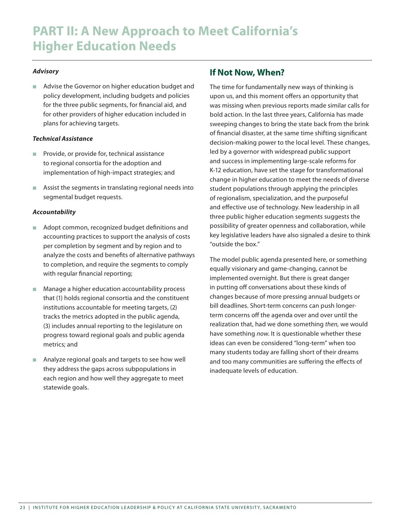#### *Advisory*

■ Advise the Governor on higher education budget and policy development, including budgets and policies for the three public segments, for financial aid, and for other providers of higher education included in plans for achieving targets.

#### *Technical Assistance*

- Provide, or provide for, technical assistance to regional consortia for the adoption and implementation of high-impact strategies; and
- n Assist the segments in translating regional needs into segmental budget requests.

#### *Accountability*

- Adopt common, recognized budget definitions and accounting practices to support the analysis of costs per completion by segment and by region and to analyze the costs and benefits of alternative pathways to completion, and require the segments to comply with regular financial reporting;
- Manage a higher education accountability process that (1) holds regional consortia and the constituent institutions accountable for meeting targets, (2) tracks the metrics adopted in the public agenda, (3) includes annual reporting to the legislature on progress toward regional goals and public agenda metrics; and
- Analyze regional goals and targets to see how well they address the gaps across subpopulations in each region and how well they aggregate to meet statewide goals.

#### **If Not Now, When?**

The time for fundamentally new ways of thinking is upon us, and this moment offers an opportunity that was missing when previous reports made similar calls for bold action. In the last three years, California has made sweeping changes to bring the state back from the brink of financial disaster, at the same time shifting significant decision-making power to the local level. These changes, led by a governor with widespread public support and success in implementing large-scale reforms for K-12 education, have set the stage for transformational change in higher education to meet the needs of diverse student populations through applying the principles of regionalism, specialization, and the purposeful and effective use of technology. New leadership in all three public higher education segments suggests the possibility of greater openness and collaboration, while key legislative leaders have also signaled a desire to think "outside the box."

The model public agenda presented here, or something equally visionary and game-changing, cannot be implemented overnight. But there is great danger in putting off conversations about these kinds of changes because of more pressing annual budgets or bill deadlines. Short-term concerns can push longerterm concerns off the agenda over and over until the realization that, had we done something *then,* we would have something *now*. It is questionable whether these ideas can even be considered "long-term" when too many students today are falling short of their dreams and too many communities are suffering the effects of inadequate levels of education.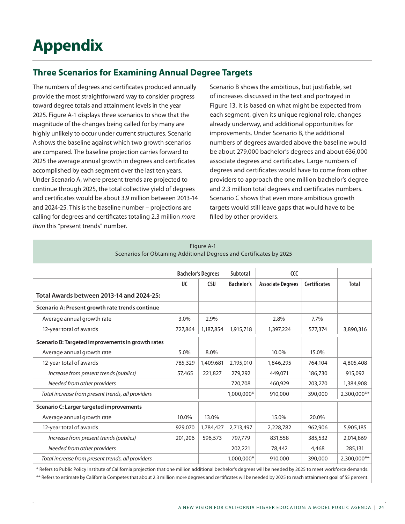# **Appendix**

## **Three Scenarios for Examining Annual Degree Targets**

The numbers of degrees and certificates produced annually provide the most straightforward way to consider progress toward degree totals and attainment levels in the year 2025. Figure A-1 displays three scenarios to show that the magnitude of the changes being called for by many are highly unlikely to occur under current structures. Scenario A shows the baseline against which two growth scenarios are compared. The baseline projection carries forward to 2025 the average annual growth in degrees and certificates accomplished by each segment over the last ten years. Under Scenario A, where present trends are projected to continue through 2025, the total collective yield of degrees and certificates would be about 3.9 million between 2013-14 and 2024-25. This is the baseline number – projections are calling for degrees and certificates totaling 2.3 million *more than* this "present trends" number.

Scenario B shows the ambitious, but justifiable, set of increases discussed in the text and portrayed in Figure 13. It is based on what might be expected from each segment, given its unique regional role, changes already underway, and additional opportunities for improvements. Under Scenario B, the additional numbers of degrees awarded above the baseline would be about 279,000 bachelor's degrees and about 636,000 associate degrees and certificates. Large numbers of degrees and certificates would have to come from other providers to approach the one million bachelor's degree and 2.3 million total degrees and certificates numbers. Scenario C shows that even more ambitious growth targets would still leave gaps that would have to be filled by other providers.

|                                                   |                           |            | Subtotal          |                          |                     |              |
|---------------------------------------------------|---------------------------|------------|-------------------|--------------------------|---------------------|--------------|
|                                                   | <b>Bachelor's Degrees</b> |            |                   | CC                       |                     |              |
|                                                   | <b>UC</b>                 | <b>CSU</b> | <b>Bachelor's</b> | <b>Associate Degrees</b> | <b>Certificates</b> | <b>Total</b> |
| Total Awards between 2013-14 and 2024-25:         |                           |            |                   |                          |                     |              |
| Scenario A: Present growth rate trends continue   |                           |            |                   |                          |                     |              |
| Average annual growth rate                        | 3.0%                      | 2.9%       |                   | 2.8%                     | 7.7%                |              |
| 12-year total of awards                           | 727,864                   | 1,187,854  | 1,915,718         | 1,397,224                | 577,374             | 3,890,316    |
| Scenario B: Targeted improvements in growth rates |                           |            |                   |                          |                     |              |
| Average annual growth rate                        | 5.0%                      | 8.0%       |                   | 10.0%                    | 15.0%               |              |
| 12-year total of awards                           | 785,329                   | 1,409,681  | 2,195,010         | 1,846,295                | 764,104             | 4,805,408    |
| Increase from present trends (publics)            | 57,465                    | 221.827    | 279,292           | 449,071                  | 186,730             | 915,092      |
| Needed from other providers                       |                           |            | 720,708           | 460,929                  | 203,270             | 1,384,908    |
| Total increase from present trends, all providers |                           |            | 1,000,000*        | 910,000                  | 390,000             | 2,300,000**  |
| Scenario C: Larger targeted improvements          |                           |            |                   |                          |                     |              |
| Average annual growth rate                        | 10.0%                     | 13.0%      |                   | 15.0%                    | 20.0%               |              |
| 12-year total of awards                           | 929,070                   | 1,784,427  | 2,713,497         | 2,228,782                | 962,906             | 5,905,185    |
| Increase from present trends (publics)            | 201,206                   | 596,573    | 797,779           | 831,558                  | 385,532             | 2,014,869    |
| Needed from other providers                       |                           |            | 202,221           | 78,442                   | 4,468               | 285,131      |
| Total increase from present trends, all providers |                           |            | 1,000,000*        | 910,000                  | 390,000             | 2,300,000**  |

| Figure A-1                                                          |  |
|---------------------------------------------------------------------|--|
| Scenarios for Obtaining Additional Degrees and Certificates by 2025 |  |

\* Refers to Public Policy Institute of California projection that one million additional bechelor's degrees will be needed by 2025 to meet workforce demands. \*\* Refers to estimate by California Competes that about 2.3 million more degrees and certificates wil be needed by 2025 to reach attainment goal of 55 percent.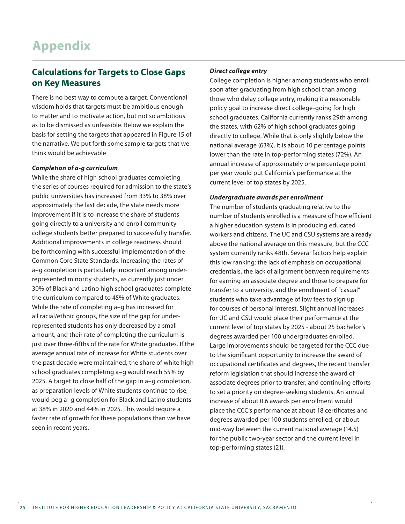## **Calculations for Targets to Close Gaps on Key Measures**

There is no best way to compute a target. Conventional wisdom holds that targets must be ambitious enough to matter and to motivate action, but not so ambitious as to be dismissed as unfeasible. Below we explain the basis for setting the targets that appeared in Figure 15 of the narrative. We put forth some sample targets that we think would be achievable

#### *Completion of a-g curriculum*

While the share of high school graduates completing the series of courses required for admission to the state's public universities has increased from 33% to 38% over approximately the last decade, the state needs more improvement if it is to increase the share of students going directly to a university and enroll community college students better prepared to successfully transfer. Additional improvements in college readiness should be forthcoming with successful implementation of the Common Core State Standards. Increasing the rates of a–g completion is particularly important among underrepresented minority students, as currently just under 30% of Black and Latino high school graduates complete the curriculum compared to 45% of White graduates. While the rate of completing a–g has increased for all racial/ethnic groups, the size of the gap for underrepresented students has only decreased by a small amount, and their rate of completing the curriculum is just over three-fifths of the rate for White graduates. If the average annual rate of increase for White students over the past decade were maintained, the share of white high school graduates completing a–g would reach 55% by 2025. A target to close half of the gap in a–g completion, as preparation levels of White students continue to rise, would peg a–g completion for Black and Latino students at 38% in 2020 and 44% in 2025. This would require a faster rate of growth for these populations than we have seen in recent years.

#### *Direct college entry*

College completion is higher among students who enroll soon after graduating from high school than among those who delay college entry, making it a reasonable policy goal to increase direct college-going for high school graduates. California currently ranks 29th among the states, with 62% of high school graduates going directly to college. While that is only slightly below the national average (63%), it is about 10 percentage points lower than the rate in top-performing states (72%). An annual increase of approximately one percentage point per year would put California's performance at the current level of top states by 2025.

#### *Undergraduate awards per enrollment*

The number of students graduating relative to the number of students enrolled is a measure of how efficient a higher education system is in producing educated workers and citizens. The UC and CSU systems are already above the national average on this measure, but the CCC system currently ranks 48th. Several factors help explain this low ranking: the lack of emphasis on occupational credentials, the lack of alignment between requirements for earning an associate degree and those to prepare for transfer to a university, and the enrollment of "casual" students who take advantage of low fees to sign up for courses of personal interest. Slight annual increases for UC and CSU would place their performance at the current level of top states by 2025 - about 25 bachelor's degrees awarded per 100 undergraduates enrolled. Large improvements should be targeted for the CCC due to the significant opportunity to increase the award of occupational certificates and degrees, the recent transfer reform legislation that should increase the award of associate degrees prior to transfer, and continuing efforts to set a priority on degree-seeking students. An annual increase of about 0.6 awards per enrollment would place the CCC's performance at about 18 certificates and degrees awarded per 100 students enrolled, or about mid-way between the current national average (14.5) for the public two-year sector and the current level in top-performing states (21).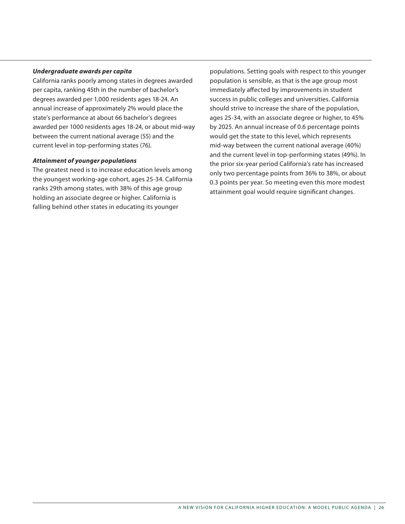#### *Undergraduate awards per capita*

California ranks poorly among states in degrees awarded per capita, ranking 45th in the number of bachelor's degrees awarded per 1,000 residents ages 18-24. An annual increase of approximately 2% would place the state's performance at about 66 bachelor's degrees awarded per 1000 residents ages 18-24, or about mid-way between the current national average (55) and the current level in top-performing states (76).

#### *Attainment of younger populations*

The greatest need is to increase education levels among the youngest working-age cohort, ages 25-34. California ranks 29th among states, with 38% of this age group holding an associate degree or higher. California is falling behind other states in educating its younger

populations. Setting goals with respect to this younger population is sensible, as that is the age group most immediately affected by improvements in student success in public colleges and universities. California should strive to increase the share of the population, ages 25-34, with an associate degree or higher, to 45% by 2025. An annual increase of 0.6 percentage points would get the state to this level, which represents mid-way between the current national average (40%) and the current level in top-performing states (49%). In the prior six-year period California's rate has increased only two percentage points from 36% to 38%, or about 0.3 points per year. So meeting even this more modest attainment goal would require significant changes.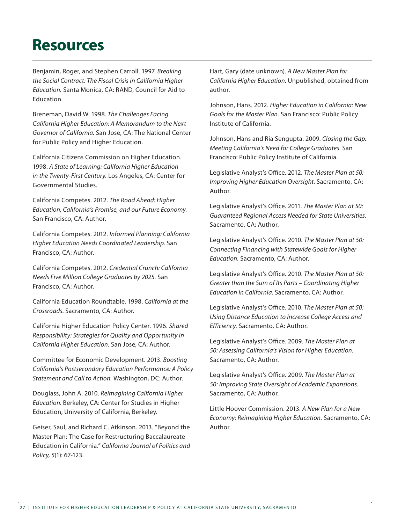## **Resources**

Benjamin, Roger, and Stephen Carroll. 1997. *Breaking the Social Contract: The Fiscal Crisis in California Higher Education.* Santa Monica, CA: RAND, Council for Aid to Education.

Breneman, David W. 1998. *The Challenges Facing California Higher Education: A Memorandum to the Next Governor of California.* San Jose, CA: The National Center for Public Policy and Higher Education.

California Citizens Commission on Higher Education. 1998. *A State of Learning: California Higher Education in the Twenty-First Century.* Los Angeles, CA: Center for Governmental Studies.

California Competes. 2012. *The Road Ahead: Higher Education, California's Promise, and our Future Economy.* San Francisco, CA: Author.

California Competes. 2012. *Informed Planning: California Higher Education Needs Coordinated Leadership.* San Francisco, CA: Author.

California Competes. 2012. *Credential Crunch: California Needs Five Million College Graduates by 2025.* San Francisco, CA: Author.

California Education Roundtable. 1998. *California at the Crossroads.* Sacramento, CA: Author.

California Higher Education Policy Center. 1996. *Shared Responsibility: Strategies for Quality and Opportunity in California Higher Education.* San Jose, CA: Author.

Committee for Economic Development. 2013. *Boosting California's Postsecondary Education Performance: A Policy Statement and Call to Action.* Washington, DC: Author.

Douglass, John A. 2010. *Reimagining California Higher Education.* Berkeley, CA: Center for Studies in Higher Education, University of California, Berkeley.

Geiser, Saul, and Richard C. Atkinson. 2013. "Beyond the Master Plan: The Case for Restructuring Baccalaureate Education in California." *California Journal of Politics and Policy, 5*(1): 67-123.

Hart, Gary (date unknown). *A New Master Plan for California Higher Education*. Unpublished, obtained from author.

Johnson, Hans. 2012. *Higher Education in California: New Goals for the Master Plan.* San Francisco: Public Policy Institute of California.

Johnson, Hans and Ria Sengupta. 2009. *Closing the Gap: Meeting California's Need for College Graduates.* San Francisco: Public Policy Institute of California.

Legislative Analyst's Office. 2012. *The Master Plan at 50: Improving Higher Education Oversight.* Sacramento, CA: Author.

Legislative Analyst's Office. 2011. *The Master Plan at 50: Guaranteed Regional Access Needed for State Universities.*  Sacramento, CA: Author.

Legislative Analyst's Office. 2010. *The Master Plan at 50: Connecting Financing with Statewide Goals for Higher Education.* Sacramento, CA: Author.

Legislative Analyst's Office. 2010. *The Master Plan at 50: Greater than the Sum of Its Parts – Coordinating Higher Education in California.* Sacramento, CA: Author.

Legislative Analyst's Office. 2010. *The Master Plan at 50: Using Distance Education to Increase College Access and Efficiency.* Sacramento, CA: Author.

Legislative Analyst's Office. 2009. *The Master Plan at 50: Assessing California's Vision for Higher Education.*  Sacramento, CA: Author.

Legislative Analyst's Office. 2009. *The Master Plan at 50: Improving State Oversight of Academic Expansions.*  Sacramento, CA: Author.

Little Hoover Commission. 2013. *A New Plan for a New Economy: Reimagining Higher Education.* Sacramento, CA: Author.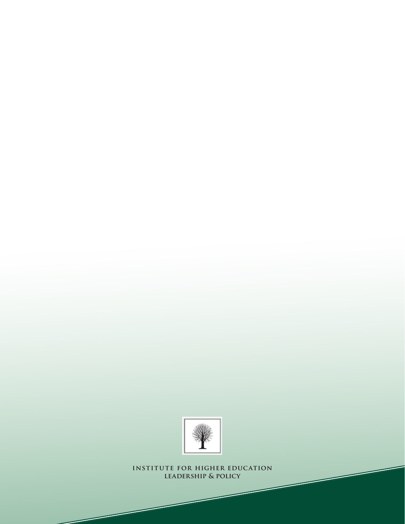

**institute for higher education leadership & policy**